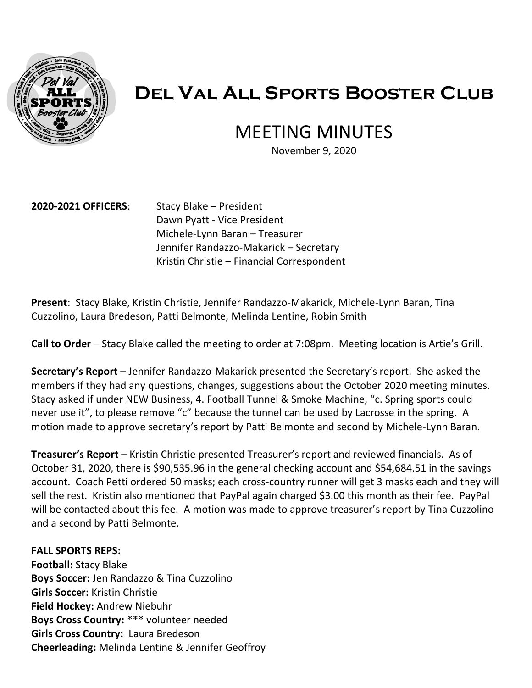

# **Del Val All Sports Booster Club**

# MEETING MINUTES

November 9, 2020

#### **2020-2021 OFFICERS**: Stacy Blake – President

Dawn Pyatt - Vice President Michele-Lynn Baran – Treasurer Jennifer Randazzo-Makarick – Secretary Kristin Christie – Financial Correspondent

**Present**: Stacy Blake, Kristin Christie, Jennifer Randazzo-Makarick, Michele-Lynn Baran, Tina Cuzzolino, Laura Bredeson, Patti Belmonte, Melinda Lentine, Robin Smith

**Call to Order** – Stacy Blake called the meeting to order at 7:08pm. Meeting location is Artie's Grill.

**Secretary's Report** – Jennifer Randazzo-Makarick presented the Secretary's report. She asked the members if they had any questions, changes, suggestions about the October 2020 meeting minutes. Stacy asked if under NEW Business, 4. Football Tunnel & Smoke Machine, "c. Spring sports could never use it", to please remove "c" because the tunnel can be used by Lacrosse in the spring. A motion made to approve secretary's report by Patti Belmonte and second by Michele-Lynn Baran.

**Treasurer's Report** – Kristin Christie presented Treasurer's report and reviewed financials. As of October 31, 2020, there is \$90,535.96 in the general checking account and \$54,684.51 in the savings account. Coach Petti ordered 50 masks; each cross-country runner will get 3 masks each and they will sell the rest. Kristin also mentioned that PayPal again charged \$3.00 this month as their fee. PayPal will be contacted about this fee. A motion was made to approve treasurer's report by Tina Cuzzolino and a second by Patti Belmonte.

#### **FALL SPORTS REPS:**

**Football:** Stacy Blake **Boys Soccer:** Jen Randazzo & Tina Cuzzolino **Girls Soccer:** Kristin Christie **Field Hockey:** Andrew Niebuhr **Boys Cross Country:** \*\*\* volunteer needed **Girls Cross Country:** Laura Bredeson **Cheerleading:** Melinda Lentine & Jennifer Geoffroy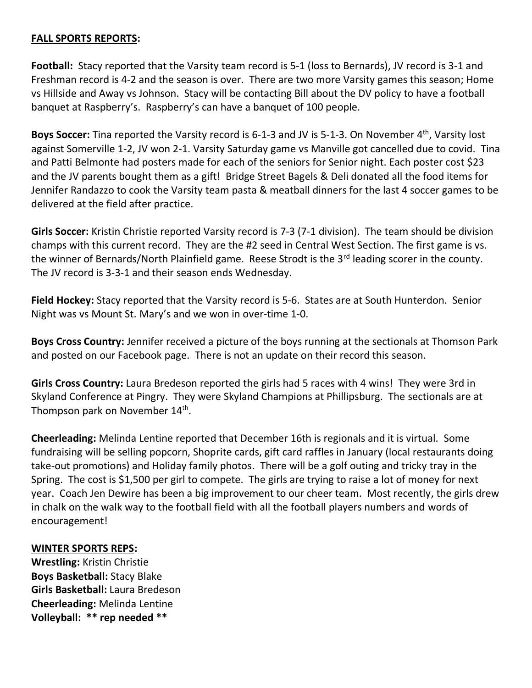## **FALL SPORTS REPORTS:**

**Football:** Stacy reported that the Varsity team record is 5-1 (loss to Bernards), JV record is 3-1 and Freshman record is 4-2 and the season is over. There are two more Varsity games this season; Home vs Hillside and Away vs Johnson. Stacy will be contacting Bill about the DV policy to have a football banquet at Raspberry's. Raspberry's can have a banquet of 100 people.

**Boys Soccer:** Tina reported the Varsity record is 6-1-3 and JV is 5-1-3. On November 4<sup>th</sup>, Varsity lost against Somerville 1-2, JV won 2-1. Varsity Saturday game vs Manville got cancelled due to covid. Tina and Patti Belmonte had posters made for each of the seniors for Senior night. Each poster cost \$23 and the JV parents bought them as a gift! Bridge Street Bagels & Deli donated all the food items for Jennifer Randazzo to cook the Varsity team pasta & meatball dinners for the last 4 soccer games to be delivered at the field after practice.

**Girls Soccer:** Kristin Christie reported Varsity record is 7-3 (7-1 division). The team should be division champs with this current record. They are the #2 seed in Central West Section. The first game is vs. the winner of Bernards/North Plainfield game. Reese Strodt is the 3<sup>rd</sup> leading scorer in the county. The JV record is 3-3-1 and their season ends Wednesday.

**Field Hockey:** Stacy reported that the Varsity record is 5-6. States are at South Hunterdon. Senior Night was vs Mount St. Mary's and we won in over-time 1-0.

**Boys Cross Country:** Jennifer received a picture of the boys running at the sectionals at Thomson Park and posted on our Facebook page. There is not an update on their record this season.

**Girls Cross Country:** Laura Bredeson reported the girls had 5 races with 4 wins! They were 3rd in Skyland Conference at Pingry. They were Skyland Champions at Phillipsburg. The sectionals are at Thompson park on November 14<sup>th</sup>.

**Cheerleading:** Melinda Lentine reported that December 16th is regionals and it is virtual. Some fundraising will be selling popcorn, Shoprite cards, gift card raffles in January (local restaurants doing take-out promotions) and Holiday family photos. There will be a golf outing and tricky tray in the Spring. The cost is \$1,500 per girl to compete. The girls are trying to raise a lot of money for next year. Coach Jen Dewire has been a big improvement to our cheer team. Most recently, the girls drew in chalk on the walk way to the football field with all the football players numbers and words of encouragement!

#### **WINTER SPORTS REPS:**

**Wrestling:** Kristin Christie **Boys Basketball:** Stacy Blake **Girls Basketball:** Laura Bredeson **Cheerleading:** Melinda Lentine **Volleyball: \*\* rep needed \*\***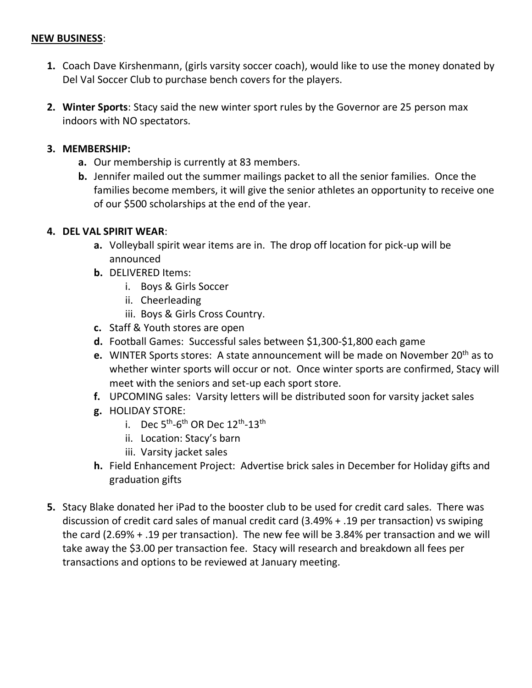#### **NEW BUSINESS**:

- **1.** Coach Dave Kirshenmann, (girls varsity soccer coach), would like to use the money donated by Del Val Soccer Club to purchase bench covers for the players.
- **2. Winter Sports**: Stacy said the new winter sport rules by the Governor are 25 person max indoors with NO spectators.

## **3. MEMBERSHIP:**

- **a.** Our membership is currently at 83 members.
- **b.** Jennifer mailed out the summer mailings packet to all the senior families. Once the families become members, it will give the senior athletes an opportunity to receive one of our \$500 scholarships at the end of the year.

# **4. DEL VAL SPIRIT WEAR**:

- **a.** Volleyball spirit wear items are in. The drop off location for pick-up will be announced
- **b.** DELIVERED Items:
	- i. Boys & Girls Soccer
	- ii. Cheerleading
	- iii. Boys & Girls Cross Country.
- **c.** Staff & Youth stores are open
- **d.** Football Games: Successful sales between \$1,300-\$1,800 each game
- **e.** WINTER Sports stores: A state announcement will be made on November 20<sup>th</sup> as to whether winter sports will occur or not. Once winter sports are confirmed, Stacy will meet with the seniors and set-up each sport store.
- **f.** UPCOMING sales: Varsity letters will be distributed soon for varsity jacket sales
- **g.** HOLIDAY STORE:
	- i. Dec  $5^{\text{th}}$ -6<sup>th</sup> OR Dec  $12^{\text{th}}$ -13<sup>th</sup>
	- ii. Location: Stacy's barn
	- iii. Varsity jacket sales
- **h.** Field Enhancement Project: Advertise brick sales in December for Holiday gifts and graduation gifts
- **5.** Stacy Blake donated her iPad to the booster club to be used for credit card sales. There was discussion of credit card sales of manual credit card (3.49% + .19 per transaction) vs swiping the card (2.69% + .19 per transaction). The new fee will be 3.84% per transaction and we will take away the \$3.00 per transaction fee. Stacy will research and breakdown all fees per transactions and options to be reviewed at January meeting.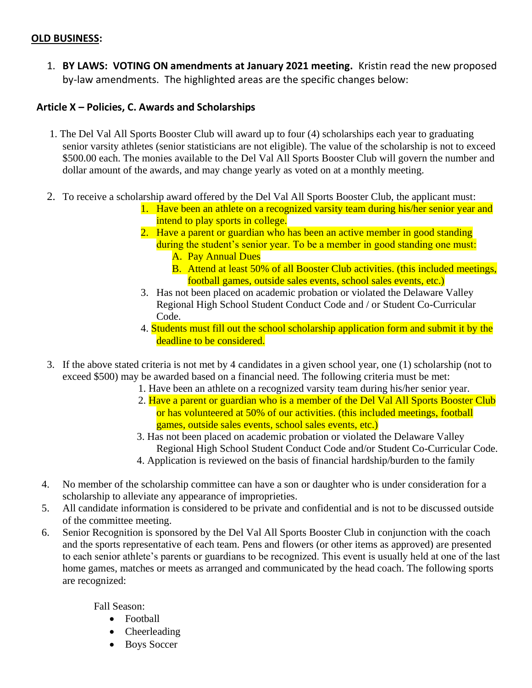#### **OLD BUSINESS:**

1. **BY LAWS: VOTING ON amendments at January 2021 meeting.** Kristin read the new proposed by-law amendments. The highlighted areas are the specific changes below:

#### **Article X – Policies, C. Awards and Scholarships**

- 1. The Del Val All Sports Booster Club will award up to four (4) scholarships each year to graduating senior varsity athletes (senior statisticians are not eligible). The value of the scholarship is not to exceed \$500.00 each. The monies available to the Del Val All Sports Booster Club will govern the number and dollar amount of the awards, and may change yearly as voted on at a monthly meeting.
- 2. To receive a scholarship award offered by the Del Val All Sports Booster Club, the applicant must:
	- 1. Have been an athlete on a recognized varsity team during his/her senior year and intend to play sports in college.
	- 2. Have a parent or guardian who has been an active member in good standing during the student's senior year. To be a member in good standing one must: A. Pay Annual Dues
		- B. Attend at least 50% of all Booster Club activities. (this included meetings, football games, outside sales events, school sales events, etc.)
	- 3. Has not been placed on academic probation or violated the Delaware Valley Regional High School Student Conduct Code and / or Student Co-Curricular Code.
	- 4. Students must fill out the school scholarship application form and submit it by the deadline to be considered.
- 3. If the above stated criteria is not met by 4 candidates in a given school year, one (1) scholarship (not to exceed \$500) may be awarded based on a financial need. The following criteria must be met:
	- 1. Have been an athlete on a recognized varsity team during his/her senior year.
	- 2. Have a parent or guardian who is a member of the Del Val All Sports Booster Club or has volunteered at 50% of our activities. (this included meetings, football games, outside sales events, school sales events, etc.)
	- 3. Has not been placed on academic probation or violated the Delaware Valley Regional High School Student Conduct Code and/or Student Co-Curricular Code.
	- 4. Application is reviewed on the basis of financial hardship/burden to the family
- 4. No member of the scholarship committee can have a son or daughter who is under consideration for a scholarship to alleviate any appearance of improprieties.
- 5. All candidate information is considered to be private and confidential and is not to be discussed outside of the committee meeting.
- 6. Senior Recognition is sponsored by the Del Val All Sports Booster Club in conjunction with the coach and the sports representative of each team. Pens and flowers (or other items as approved) are presented to each senior athlete's parents or guardians to be recognized. This event is usually held at one of the last home games, matches or meets as arranged and communicated by the head coach. The following sports are recognized:

Fall Season:

- Football
- Cheerleading
- Boys Soccer